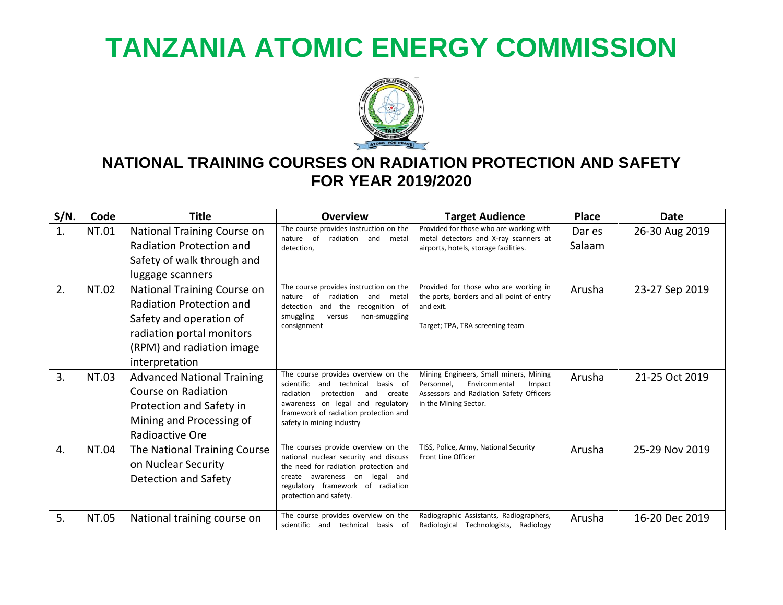## **TANZANIA ATOMIC ENERGY COMMISSION**



## **NATIONAL TRAINING COURSES ON RADIATION PROTECTION AND SAFETY FOR YEAR 2019/2020**

| $S/N$ . | Code  | <b>Title</b>                                                                                                                                                   | <b>Overview</b>                                                                                                                                                                                                              | <b>Target Audience</b>                                                                                                                              | <b>Place</b>     | <b>Date</b>    |
|---------|-------|----------------------------------------------------------------------------------------------------------------------------------------------------------------|------------------------------------------------------------------------------------------------------------------------------------------------------------------------------------------------------------------------------|-----------------------------------------------------------------------------------------------------------------------------------------------------|------------------|----------------|
| 1.      | NT.01 | National Training Course on<br>Radiation Protection and<br>Safety of walk through and<br>luggage scanners                                                      | The course provides instruction on the<br>nature of<br>radiation and<br>metal<br>detection,                                                                                                                                  | Provided for those who are working with<br>metal detectors and X-ray scanners at<br>airports, hotels, storage facilities.                           | Dar es<br>Salaam | 26-30 Aug 2019 |
| 2.      | NT.02 | National Training Course on<br>Radiation Protection and<br>Safety and operation of<br>radiation portal monitors<br>(RPM) and radiation image<br>interpretation | The course provides instruction on the<br>of<br>radiation<br>nature<br>and<br>metal<br>recognition of<br>detection<br>and the<br>smuggling<br>non-smuggling<br>versus<br>consignment                                         | Provided for those who are working in<br>the ports, borders and all point of entry<br>and exit.<br>Target; TPA, TRA screening team                  | Arusha           | 23-27 Sep 2019 |
| 3.      | NT.03 | <b>Advanced National Training</b><br>Course on Radiation<br>Protection and Safety in<br>Mining and Processing of<br>Radioactive Ore                            | The course provides overview on the<br>scientific and technical basis of<br>radiation<br>protection<br>and create<br>awareness on legal and regulatory<br>framework of radiation protection and<br>safety in mining industry | Mining Engineers, Small miners, Mining<br>Environmental<br>Personnel,<br>Impact<br>Assessors and Radiation Safety Officers<br>in the Mining Sector. | Arusha           | 21-25 Oct 2019 |
| 4.      | NT.04 | The National Training Course<br>on Nuclear Security<br>Detection and Safety                                                                                    | The courses provide overview on the<br>national nuclear security and discuss<br>the need for radiation protection and<br>create awareness on legal<br>and<br>regulatory framework of radiation<br>protection and safety.     | TISS, Police, Army, National Security<br><b>Front Line Officer</b>                                                                                  | Arusha           | 25-29 Nov 2019 |
| 5.      | NT.05 | National training course on                                                                                                                                    | The course provides overview on the<br>scientific and technical basis of                                                                                                                                                     | Radiographic Assistants, Radiographers,<br>Radiological Technologists, Radiology                                                                    | Arusha           | 16-20 Dec 2019 |